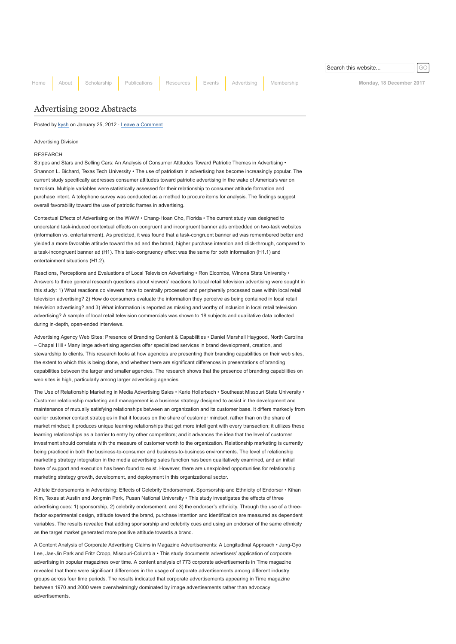[Home](http://www.aejmc.org/home) [About](http://www.aejmc.org/home/about/) [Scholarship](http://www.aejmc.org/home/scholarship/) [Publications](http://www.aejmc.org/home/publications/) [Resources](http://www.aejmc.org/home/resources/) [Events](http://www.aejmc.org/home/events/) [Advertising](http://www.aejmc.org/home/advertising/) [Membership](http://www.aejmc.org/home/membership/) Membership Monday, 18 December 2017

Search this website...

# [Advertising 2002 Abstracts](http://www.aejmc.org/home/2012/01/adv-2002-abstracts/)

Posted by [kysh](http://www.aejmc.org/home/author/kyshiab/) on January 25, 2012 · [Leave a Comment](http://www.aejmc.org/home/2012/01/adv-2002-abstracts/#respond)

Advertising Division

## RESEARCH

Stripes and Stars and Selling Cars: An Analysis of Consumer Attitudes Toward Patriotic Themes in Advertising • Shannon L. Bichard, Texas Tech University • The use of patriotism in advertising has become increasingly popular. The current study specifically addresses consumer attitudes toward patriotic advertising in the wake of America's war on terrorism. Multiple variables were statistically assessed for their relationship to consumer attitude formation and purchase intent. A telephone survey was conducted as a method to procure items for analysis. The findings suggest overall favorability toward the use of patriotic frames in advertising.

Contextual Effects of Advertising on the WWW • Chang-Hoan Cho, Florida • The current study was designed to understand task-induced contextual effects on congruent and incongruent banner ads embedded on two-task websites (information vs. entertainment). As predicted, it was found that a task-congruent banner ad was remembered better and yielded a more favorable attitude toward the ad and the brand, higher purchase intention and click-through, compared to a task-incongruent banner ad (H1). This task-congruency effect was the same for both information (H1.1) and entertainment situations (H1.2).

Reactions, Perceptions and Evaluations of Local Television Advertising • Ron Elcombe, Winona State University • Answers to three general research questions about viewers' reactions to local retail television advertising were sought in this study: 1) What reactions do viewers have to centrally processed and peripherally processed cues within local retail television advertising? 2) How do consumers evaluate the information they perceive as being contained in local retail television advertising? and 3) What information is reported as missing and worthy of inclusion in local retail television advertising? A sample of local retail television commercials was shown to 18 subjects and qualitative data collected during in-depth, open-ended interviews.

Advertising Agency Web Sites: Presence of Branding Content & Capabilities • Daniel Marshall Haygood, North Carolina – Chapel Hill • Many large advertising agencies offer specialized services in brand development, creation, and stewardship to clients. This research looks at how agencies are presenting their branding capabilities on their web sites, the extent to which this is being done, and whether there are significant differences in presentations of branding capabilities between the larger and smaller agencies. The research shows that the presence of branding capabilities on web sites is high, particularly among larger advertising agencies.

The Use of Relationship Marketing in Media Advertising Sales • Karie Hollerbach • Southeast Missouri State University • Customer relationship marketing and management is a business strategy designed to assist in the development and maintenance of mutually satisfying relationships between an organization and its customer base. It differs markedly from earlier customer contact strategies in that it focuses on the share of customer mindset, rather than on the share of market mindset; it produces unique learning relationships that get more intelligent with every transaction; it utilizes these learning relationships as a barrier to entry by other competitors; and it advances the idea that the level of customer investment should correlate with the measure of customer worth to the organization. Relationship marketing is currently being practiced in both the business-to-consumer and business-to-business environments. The level of relationship marketing strategy integration in the media advertising sales function has been qualitatively examined, and an initial base of support and execution has been found to exist. However, there are unexploited opportunities for relationship marketing strategy growth, development, and deployment in this organizational sector.

Athlete Endorsements in Advertising: Effects of Celebrity Endorsement, Sponsorship and Ethnicity of Endorser • Kihan Kim, Texas at Austin and Jongmin Park, Pusan National University • This study investigates the effects of three advertising cues: 1) sponsorship, 2) celebrity endorsement, and 3) the endorser's ethnicity. Through the use of a threefactor experimental design, attitude toward the brand, purchase intention and identification are measured as dependent variables. The results revealed that adding sponsorship and celebrity cues and using an endorser of the same ethnicity as the target market generated more positive attitude towards a brand.

A Content Analysis of Corporate Advertising Claims in Magazine Advertisements: A Longitudinal Approach • Jung-Gyo Lee, Jae-Jin Park and Fritz Cropp, Missouri-Columbia • This study documents advertisers' application of corporate advertising in popular magazines over time. A content analysis of 773 corporate advertisements in Time magazine revealed that there were significant differences in the usage of corporate advertisements among different industry groups across four time periods. The results indicated that corporate advertisements appearing in Time magazine between 1970 and 2000 were overwhelmingly dominated by image advertisements rather than advocacy advertisements.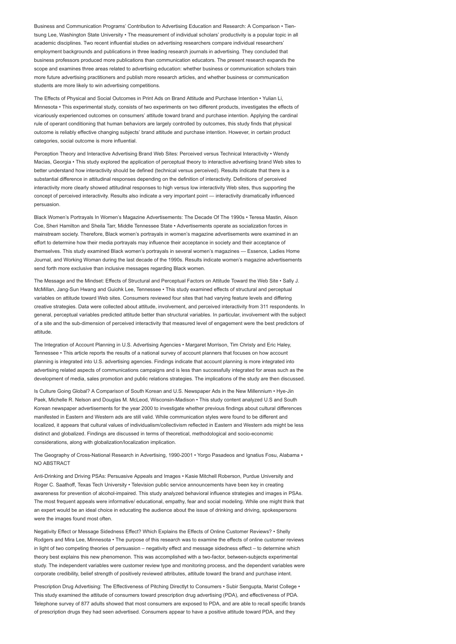Business and Communication Programs' Contribution to Advertising Education and Research: A Comparison • Tientsung Lee, Washington State University • The measurement of individual scholars' productivity is a popular topic in all academic disciplines. Two recent influential studies on advertising researchers compare individual researchers' employment backgrounds and publications in three leading research journals in advertising. They concluded that business professors produced more publications than communication educators. The present research expands the scope and examines three areas related to advertising education: whether business or communication scholars train more future advertising practitioners and publish more research articles, and whether business or communication students are more likely to win advertising competitions.

The Effects of Physical and Social Outcomes in Print Ads on Brand Attitude and Purchase Intention • Yulian Li, Minnesota • This experimental study, consists of two experiments on two different products, investigates the effects of vicariously experienced outcomes on consumers' attitude toward brand and purchase intention. Applying the cardinal rule of operant conditioning that human behaviors are largely controlled by outcomes, this study finds that physical outcome is reliably effective changing subjects' brand attitude and purchase intention. However, in certain product categories, social outcome is more influential.

Perception Theory and Interactive Advertising Brand Web Sites: Perceived versus Technical Interactivity • Wendy Macias, Georgia • This study explored the application of perceptual theory to interactive advertising brand Web sites to better understand how interactivity should be defined (technical versus perceived). Results indicate that there is a substantial difference in attitudinal responses depending on the definition of interactivity. Definitions of perceived interactivity more clearly showed attitudinal responses to high versus low interactivity Web sites, thus supporting the concept of perceived interactivity. Results also indicate a very important point — interactivity dramatically influenced persuasion.

Black Women's Portrayals In Women's Magazine Advertisements: The Decade Of The 1990s • Teresa Mastin, Alison Coe, Sheri Hamilton and Sheila Tarr, Middle Tennessee State • Advertisements operate as socialization forces in mainstream society. Therefore, Black women's portrayals in women's magazine advertisements were examined in an effort to determine how their media portrayals may influence their acceptance in society and their acceptance of themselves. This study examined Black women's portrayals in several women's magazines — Essence, Ladies Home Journal, and Working Woman during the last decade of the 1990s. Results indicate women's magazine advertisements send forth more exclusive than inclusive messages regarding Black women.

The Message and the Mindset: Effects of Structural and Perceptual Factors on Attitude Toward the Web Site • Sally J. McMillan, Jang-Sun Hwang and Guiohk Lee, Tennessee • This study examined effects of structural and perceptual variables on attitude toward Web sites. Consumers reviewed four sites that had varying feature levels and differing creative strategies. Data were collected about attitude, involvement, and perceived interactivity from 311 respondents. In general, perceptual variables predicted attitude better than structural variables. In particular, involvement with the subject of a site and the sub-dimension of perceived interactivity that measured level of engagement were the best predictors of attitude.

The Integration of Account Planning in U.S. Advertising Agencies • Margaret Morrison, Tim Christy and Eric Haley, Tennessee • This article reports the results of a national survey of account planners that focuses on how account planning is integrated into U.S. advertising agencies. Findings indicate that account planning is more integrated into advertising related aspects of communications campaigns and is less than successfully integrated for areas such as the development of media, sales promotion and public relations strategies. The implications of the study are then discussed.

Is Culture Going Global? A Comparison of South Korean and U.S. Newspaper Ads in the New Millennium • Hye-Jin Paek, Michelle R. Nelson and Douglas M. McLeod, Wisconsin-Madison • This study content analyzed U.S and South Korean newspaper advertisements for the year 2000 to investigate whether previous findings about cultural differences manifested in Eastern and Western ads are still valid. While communication styles were found to be different and localized, it appears that cultural values of individualism/collectivism reflected in Eastern and Western ads might be less distinct and globalized. Findings are discussed in terms of theoretical, methodological and socio-economic considerations, along with globalization/localization implication.

The Geography of Cross-National Research in Advertising, 1990-2001 • Yorgo Pasadeos and Ignatius Fosu, Alabama • NO ABSTRACT

Anti-Drinking and Driving PSAs: Persuasive Appeals and Images • Kasie Mitchell Roberson, Purdue University and Roger C. Saathoff, Texas Tech University • Television public service announcements have been key in creating awareness for prevention of alcohol-impaired. This study analyzed behavioral influence strategies and images in PSAs. The most frequent appeals were informative/ educational, empathy, fear and social modeling. While one might think that an expert would be an ideal choice in educating the audience about the issue of drinking and driving, spokespersons were the images found most often.

Negativity Effect or Message Sidedness Effect? Which Explains the Effects of Online Customer Reviews? • Shelly Rodgers and Mira Lee, Minnesota • The purpose of this research was to examine the effects of online customer reviews in light of two competing theories of persuasion – negativity effect and message sidedness effect – to determine which theory best explains this new phenomenon. This was accomplished with a two-factor, between-subjects experimental study. The independent variables were customer review type and monitoring process, and the dependent variables were corporate credibility, belief strength of positively reviewed attributes, attitude toward the brand and purchase intent.

Prescription Drug Advertising: The Effectiveness of Pitching Directlyt to Consumers • Subir Sengupta, Marist College • This study examined the attitude of consumers toward prescription drug advertising (PDA), and effectiveness of PDA. Telephone survey of 877 adults showed that most consumers are exposed to PDA, and are able to recall specific brands of prescription drugs they had seen advertised. Consumers appear to have a positive attitude toward PDA, and they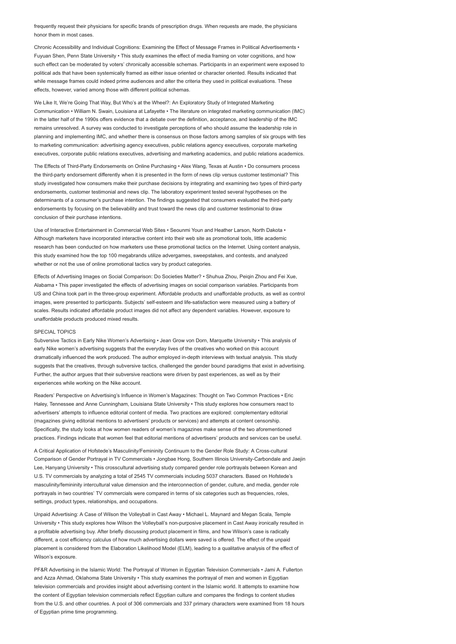frequently request their physicians for specific brands of prescription drugs. When requests are made, the physicians honor them in most cases.

Chronic Accessibility and Individual Cognitions: Examining the Effect of Message Frames in Political Advertisements • Fuyuan Shen, Penn State University • This study examines the effect of media framing on voter cognitions, and how such effect can be moderated by voters' chronically accessible schemas. Participants in an experiment were exposed to political ads that have been systemically framed as either issue oriented or character oriented. Results indicated that while message frames could indeed prime audiences and alter the criteria they used in political evaluations. These effects, however, varied among those with different political schemas.

We Like It, We're Going That Way, But Who's at the Wheel?: An Exploratory Study of Integrated Marketing Communication • William N. Swain, Louisiana at Lafayette • The literature on integrated marketing communication (IMC) in the latter half of the 1990s offers evidence that a debate over the definition, acceptance, and leadership of the IMC remains unresolved. A survey was conducted to investigate perceptions of who should assume the leadership role in planning and implementing IMC, and whether there is consensus on those factors among samples of six groups with ties to marketing communication: advertising agency executives, public relations agency executives, corporate marketing executives, corporate public relations executives, advertising and marketing academics, and public relations academics.

The Effects of Third-Party Endorsements on Online Purchasing • Alex Wang, Texas at Austin • Do consumers process the third-party endorsement differently when it is presented in the form of news clip versus customer testimonial? This study investigated how consumers make their purchase decisions by integrating and examining two types of third-party endorsements, customer testimonial and news clip. The laboratory experiment tested several hypotheses on the determinants of a consumer's purchase intention. The findings suggested that consumers evaluated the third-party endorsements by focusing on the believability and trust toward the news clip and customer testimonial to draw conclusion of their purchase intentions.

Use of Interactive Entertainment in Commercial Web Sites • Seounmi Youn and Heather Larson, North Dakota • Although marketers have incorporated interactive content into their web site as promotional tools, little academic research has been conducted on how marketers use these promotional tactics on the Internet. Using content analysis, this study examined how the top 100 megabrands utilize advergames, sweepstakes, and contests, and analyzed whether or not the use of online promotional tactics vary by product categories.

Effects of Advertising Images on Social Comparison: Do Societies Matter? • Shuhua Zhou, Peiqin Zhou and Fei Xue, Alabama • This paper investigated the effects of advertising images on social comparison variables. Participants from US and China took part in the three-group experiment. Affordable products and unaffordable products, as well as control images, were presented to participants. Subjects' self-esteem and life-satisfaction were measured using a battery of scales. Results indicated affordable product images did not affect any dependent variables. However, exposure to unaffordable products produced mixed results.

## SPECIAL TOPICS

Subversive Tactics in Early Nike Women's Advertising • Jean Grow von Dorn, Marquette University • This analysis of early Nike women's advertising suggests that the everyday lives of the creatives who worked on this account dramatically influenced the work produced. The author employed in-depth interviews with textual analysis. This study suggests that the creatives, through subversive tactics, challenged the gender bound paradigms that exist in advertising. Further, the author argues that their subversive reactions were driven by past experiences, as well as by their experiences while working on the Nike account.

Readers' Perspective on Advertising's Influence in Women's Magazines: Thought on Two Common Practices • Eric Haley, Tennessee and Anne Cunningham, Louisiana State University • This study explores how consumers react to advertisers' attempts to influence editorial content of media. Two practices are explored: complementary editorial (magazines giving editorial mentions to advertisers' products or services) and attempts at content censorship. Specifically, the study looks at how women readers of women's magazines make sense of the two aforementioned practices. Findings indicate that women feel that editorial mentions of advertisers' products and services can be useful.

A Critical Application of Hofstede's Masculinity/Femininity Continuum to the Gender Role Study: A Cross-cultural Comparison of Gender Portrayal in TV Commercials • Jongbae Hong, Southern Illinois University-Carbondale and Jaejin Lee, Hanyang University • This crosscultural advertising study compared gender role portrayals between Korean and U.S. TV commercials by analyzing a total of 2545 TV commercials including 5037 characters. Based on Hofstede's masculinity/femininity intercultural value dimension and the interconnection of gender, culture, and media, gender role portrayals in two countries' TV commercials were compared in terms of six categories such as frequencies, roles, settings, product types, relationships, and occupations.

Unpaid Advertising: A Case of Wilson the Volleyball in Cast Away • Michael L. Maynard and Megan Scala, Temple University • This study explores how Wilson the Volleyball's non-purposive placement in Cast Away ironically resulted in a profitable advertising buy. After briefly discussing product placement in films, and how Wilson's case is radically different, a cost efficiency calculus of how much advertising dollars were saved is offered. The effect of the unpaid placement is considered from the Elaboration Likelihood Model (ELM), leading to a qualitative analysis of the effect of Wilson's exposure.

PF&R Advertising in the Islamic World: The Portrayal of Women in Egyptian Television Commercials • Jami A. Fullerton and Azza Ahmad, Oklahoma State University • This study examines the portrayal of men and women in Egyptian television commercials and provides insight about advertising content in the Islamic world. It attempts to examine how the content of Egyptian television commercials reflect Egyptian culture and compares the findings to content studies from the U.S. and other countries. A pool of 306 commercials and 337 primary characters were examined from 18 hours of Egyptian prime time programming.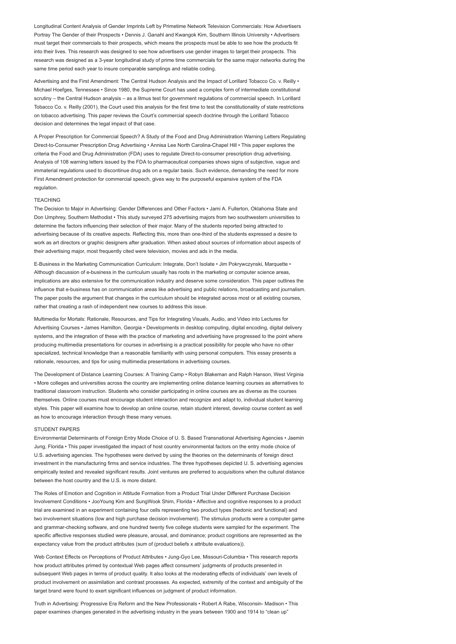Longitudinal Content Analysis of Gender Imprints Left by Primetime Network Television Commercials: How Advertisers Portray The Gender of their Prospects • Dennis J. Ganahl and Kwangok Kim, Southern Illinois University • Advertisers must target their commercials to their prospects, which means the prospects must be able to see how the products fit into their lives. This research was designed to see how advertisers use gender images to target their prospects. This research was designed as a 3-year longitudinal study of prime time commercials for the same major networks during the same time period each year to insure comparable samplings and reliable coding.

Advertising and the First Amendment: The Central Hudson Analysis and the Impact of Lorillard Tobacco Co. v. Reilly • Michael Hoefges, Tennessee • Since 1980, the Supreme Court has used a complex form of intermediate constitutional scrutiny – the Central Hudson analysis – as a litmus test for government regulations of commercial speech. In Lorillard Tobacco Co. v. Reilly (2001), the Court used this analysis for the first time to test the constitutionality of state restrictions on tobacco advertising. This paper reviews the Court's commercial speech doctrine through the Lorillard Tobacco decision and determines the legal impact of that case.

A Proper Prescription for Commercial Speech? A Study of the Food and Drug Administration Warning Letters Regulating Direct-to-Consumer Prescription Drug Advertising • Annisa Lee North Carolina-Chapel Hill • This paper explores the criteria the Food and Drug Administration (FDA) uses to regulate Direct-to-consumer prescription drug advertising. Analysis of 108 warning letters issued by the FDA to pharmaceutical companies shows signs of subjective, vague and immaterial regulations used to discontinue drug ads on a regular basis. Such evidence, demanding the need for more First Amendment protection for commercial speech, gives way to the purposeful expansive system of the FDA regulation.

## TEACHING

The Decision to Major in Advertising: Gender Differences and Other Factors • Jami A. Fullerton, Oklahoma State and Don Umphrey, Southern Methodist • This study surveyed 275 advertising majors from two southwestern universities to determine the factors influencing their selection of their major. Many of the students reported being attracted to advertising because of its creative aspects. Reflecting this, more than one-third of the students expressed a desire to work as art directors or graphic designers after graduation. When asked about sources of information about aspects of their advertising major, most frequently cited were television, movies and ads in the media.

E-Business in the Marketing Communication Curriculum: Integrate, Don't Isolate • Jim Pokrywczynski, Marquette • Although discussion of e-business in the curriculum usually has roots in the marketing or computer science areas, implications are also extensive for the communication industry and deserve some consideration. This paper outlines the influence that e-business has on communication areas like advertising and public relations, broadcasting and journalism. The paper posits the argument that changes in the curriculum should be integrated across most or all existing courses, rather that creating a rash of independent new courses to address this issue.

Multimedia for Mortals: Rationale, Resources, and Tips for Integrating Visuals, Audio, and Video into Lectures for Advertising Courses • James Hamilton, Georgia • Developments in desktop computing, digital encoding, digital delivery systems, and the integration of these with the practice of marketing and advertising have progressed to the point where producing multimedia presentations for courses in advertising is a practical possibility for people who have no other specialized, technical knowledge than a reasonable familiarity with using personal computers. This essay presents a rationale, resources, and tips for using multimedia presentations in advertising courses.

The Development of Distance Learning Courses: A Training Camp • Robyn Blakeman and Ralph Hanson, West Virginia • More colleges and universities across the country are implementing online distance learning courses as alternatives to traditional classroom instruction. Students who consider participating in online courses are as diverse as the courses themselves. Online courses must encourage student interaction and recognize and adapt to, individual student learning styles. This paper will examine how to develop an online course, retain student interest, develop course content as well as how to encourage interaction through these many venues.

## STUDENT PAPERS

Environmental Determinants of Foreign Entry Mode Choice of U. S. Based Transnational Advertising Agencies • Jaemin Jung, Florida • This paper investigated the impact of host country environmental factors on the entry mode choice of U.S. advertising agencies. The hypotheses were derived by using the theories on the determinants of foreign direct investment in the manufacturing firms and service industries. The three hypotheses depicted U. S. advertising agencies empirically tested and revealed significant results. Joint ventures are preferred to acquisitions when the cultural distance between the host country and the U.S. is more distant.

The Roles of Emotion and Cognition in Attitude Formation from a Product Trial Under Different Purchase Decision Involvement Conditions • JooYoung Kim and SungWook Shim, Florida • Affective and cognitive responses to a product trial are examined in an experiment containing four cells representing two product types (hedonic and functional) and two involvement situations (low and high purchase decision involvement). The stimulus products were a computer game and grammar-checking software, and one hundred twenty five college students were sampled for the experiment. The specific affective responses studied were pleasure, arousal, and dominance; product cognitions are represented as the expectancy value from the product attributes (sum of (product beliefs x attribute evaluations)).

Web Context Effects on Perceptions of Product Attributes • Jung-Gyo Lee, Missouri-Columbia • This research reports how product attributes primed by contextual Web pages affect consumers' judgments of products presented in subsequent Web pages in terms of product quality. It also looks at the moderating effects of individuals' own levels of product involvement on assimilation and contrast processes. As expected, extremity of the context and ambiguity of the target brand were found to exert significant influences on judgment of product information.

Truth in Advertising: Progressive Era Reform and the New Professionals • Robert A Rabe, Wisconsin- Madison • This paper examines changes generated in the advertising industry in the years between 1900 and 1914 to "clean up"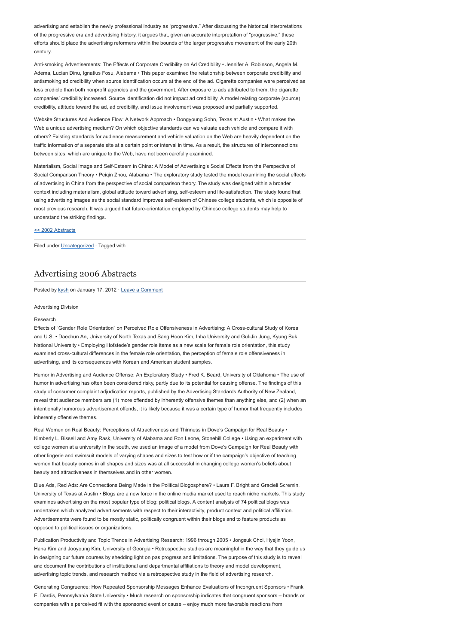advertising and establish the newly professional industry as "progressive." After discussing the historical interpretations of the progressive era and advertising history, it argues that, given an accurate interpretation of "progressive," these efforts should place the advertising reformers within the bounds of the larger progressive movement of the early 20th century.

Anti-smoking Advertisements: The Effects of Corporate Credibility on Ad Credibility • Jennifer A. Robinson, Angela M. Adema, Lucian Dinu, Ignatius Fosu, Alabama • This paper examined the relationship between corporate credibility and antismoking ad credibility when source identification occurs at the end of the ad. Cigarette companies were perceived as less credible than both nonprofit agencies and the government. After exposure to ads attributed to them, the cigarette companies' credibility increased. Source identification did not impact ad credibility. A model relating corporate (source) credibility, attitude toward the ad, ad credibility, and issue involvement was proposed and partially supported.

Website Structures And Audience Flow: A Network Approach • Dongyoung Sohn, Texas at Austin • What makes the Web a unique advertising medium? On which objective standards can we valuate each vehicle and compare it with others? Existing standards for audience measurement and vehicle valuation on the Web are heavily dependent on the traffic information of a separate site at a certain point or interval in time. As a result, the structures of interconnections between sites, which are unique to the Web, have not been carefully examined.

Materialism, Social Image and Self-Esteem in China: A Model of Advertising's Social Effects from the Perspective of Social Comparison Theory • Peigin Zhou, Alabama • The exploratory study tested the model examining the social effects of advertising in China from the perspective of social comparison theory. The study was designed within a broader context including materialism, global attitude toward advertising, self-esteem and life-satisfaction. The study found that using advertising images as the social standard improves self-esteem of Chinese college students, which is opposite of most previous research. It was argued that future-orientation employed by Chinese college students may help to understand the striking findings.

# [<< 2002 Abstracts](http://www.aejmc.com/home/2011/03/2002-abstracts/)

Filed under [Uncategorized](http://www.aejmc.org/home/category/uncategorized/) · Tagged with

# [Advertising 2006 Abstracts](http://www.aejmc.org/home/2012/01/adv-2006-abstracts/)

Posted by [kysh](http://www.aejmc.org/home/author/kyshiab/) on January 17, 2012 · [Leave a Comment](http://www.aejmc.org/home/2012/01/adv-2006-abstracts/#respond)

#### Advertising Division

#### Research

Effects of "Gender Role Orientation" on Perceived Role Offensiveness in Advertising: A Cross-cultural Study of Korea and U.S. • Daechun An, University of North Texas and Sang Hoon Kim, Inha University and Gul-Jin Jung, Kyung Buk National University • Employing Hofstede's gender role items as a new scale for female role orientation, this study examined cross-cultural differences in the female role orientation, the perception of female role offensiveness in advertising, and its consequences with Korean and American student samples.

Humor in Advertising and Audience Offense: An Exploratory Study • Fred K. Beard, University of Oklahoma • The use of humor in advertising has often been considered risky, partly due to its potential for causing offense. The findings of this study of consumer complaint adjudication reports, published by the Advertising Standards Authority of New Zealand, reveal that audience members are (1) more offended by inherently offensive themes than anything else, and (2) when an intentionally humorous advertisement offends, it is likely because it was a certain type of humor that frequently includes inherently offensive themes.

Real Women on Real Beauty: Perceptions of Attractiveness and Thinness in Dove's Campaign for Real Beauty • Kimberly L. Bissell and Amy Rask, University of Alabama and Ron Leone, Stonehill College • Using an experiment with college women at a university in the south, we used an image of a model from Dove's Campaign for Real Beauty with other lingerie and swimsuit models of varying shapes and sizes to test how or if the campaign's objective of teaching women that beauty comes in all shapes and sizes was at all successful in changing college women's beliefs about beauty and attractiveness in themselves and in other women.

Blue Ads, Red Ads: Are Connections Being Made in the Political Blogosphere? • Laura F. Bright and Gracieli Scremin, University of Texas at Austin • Blogs are a new force in the online media market used to reach niche markets. This study examines advertising on the most popular type of blog: political blogs. A content analysis of 74 political blogs was undertaken which analyzed advertisements with respect to their interactivity, product context and political affiliation. Advertisements were found to be mostly static, politically congruent within their blogs and to feature products as opposed to political issues or organizations.

Publication Productivity and Topic Trends in Advertising Research: 1996 through 2005 • Jongsuk Choi, Hyejin Yoon, Hana Kim and Jooyoung Kim, University of Georgia • Retrospective studies are meaningful in the way that they guide us in designing our future courses by shedding light on pas progress and limitations. The purpose of this study is to reveal and document the contributions of institutional and departmental affiliations to theory and model development, advertising topic trends, and research method via a retrospective study in the field of advertising research.

Generating Congruence: How Repeated Sponsorship Messages Enhance Evaluations of Incongruent Sponsors • Frank E. Dardis, Pennsylvania State University • Much research on sponsorship indicates that congruent sponsors – brands or companies with a perceived fit with the sponsored event or cause – enjoy much more favorable reactions from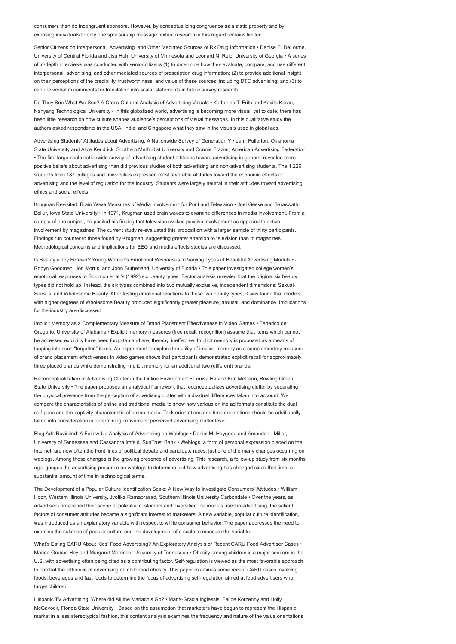consumers than do incongruent sponsors. However, by conceptualizing congruence as a static property and by exposing individuals to only one sponsorship message, extant research in this regard remains limited.

Senior Citizens on Interpersonal, Advertising, and Other Mediated Sources of Rx Drug Information • Denise E. DeLorme, University of Central Florida and Jisu Huh, University of Minnesota and Leonard N. Reid, University of Georgia • A series of in-depth interviews was conducted with senior citizens (1) to determine how they evaluate, compare, and use different interpersonal, advertising, and other mediated sources of prescription drug information; (2) to provide additional insight on their perceptions of the credibility, trustworthiness, and value of these sources, including DTC advertising; and (3) to capture verbatim comments for translation into scalar statements in future survey research.

Do They See What We See? A Cross-Cultural Analysis of Advertising Visuals • Katherine T. Frith and Kavita Karan, Nanyang Technological University • In this globalized world, advertising is becoming more visual, yet to date, there has been little research on how culture shapes audience's perceptions of visual messages. In this qualitative study the authors asked respondents in the USA, India, and Singapore what they saw in the visuals used in global ads.

Advertising Students' Attitudes about Advertising: A Nationwide Survey of Generation Y • Jami Fullerton, Oklahoma State University and Alice Kendrick, Southern Methodist University and Connie Frazier, American Advertising Federation • The first large-scale nationwide survey of advertising student attitudes toward advertising in-general revealed more positive beliefs about advertising than did previous studies of both advertising and non-advertising students. The 1,226 students from 187 colleges and universities expressed most favorable attitudes toward the economic effects of advertising and the level of regulation for the industry. Students were largely neutral in their attitudes toward advertising ethics and social effects.

Krugman Revisited: Brain Wave Measures of Media Involvement for Print and Television • Joel Geske and Saraswathi Bellur, Iowa State University • In 1971, Krugman used brain waves to examine differences in media involvement. From a sample of one subject, he posited his finding that television evokes passive involvement as opposed to active involvement by magazines. The current study re-evaluated this proposition with a larger sample of thirty participants. Findings run counter to those found by Krugman, suggesting greater attention to television than to magazines. Methodological concerns and implications for EEG and media effects studies are discussed.

Is Beauty a Joy Forever? Young Women's Emotional Responses to Varying Types of Beautiful Advertising Models • J. Robyn Goodman, Jon Morris, and John Sutherland, University of Florida • This paper investigated college women's emotional responses to Solomon et al.'s (1992) six beauty types. Factor analysis revealed that the original six beauty types did not hold up. Instead, the six types combined into two mutually exclusive, independent dimensions: Sexual-Sensual and Wholesome Beauty. After testing emotional reactions to these two beauty types, it was found that models with higher degrees of Wholesome Beauty produced significantly greater pleasure, arousal, and dominance. Implications for the industry are discussed.

Implicit Memory as a Complementary Measure of Brand Placement Effectiveness in Video Games • Federico de Gregorio, University of Alabama • Explicit memory measures (free recall, recognition) assume that items which cannot be accessed explicitly have been forgotten and are, thereby, ineffective. Implicit memory is proposed as a means of tapping into such "forgotten" items. An experiment to explore the utility of implicit memory as a complementary measure of brand placement effectiveness in video games shows that participants demonstrated explicit recall for approximately three placed brands while demonstrating implicit memory for an additional two (different) brands.

Reconceptualization of Advertising Clutter in the Online Environment • Louisa Ha and Kim McCann, Bowling Green State University • The paper proposes an analytical framework that reconceptualizes advertising clutter by separating the physical presence from the perception of advertising clutter with individual differences taken into account. We compare the characteristics of online and traditional media to show how various online ad formats constitute the dual self-pace and the captivity characteristic of online media. Task orientations and time orientations should be additionally taken into consideration in determining consumers' perceived advertising clutter level.

Blog Ads Revisited: A Follow-Up Analysis of Advertising on Weblogs • Daniel M. Haygood and Amanda L. Miller, University of Tennessee and Cassandra Imfeld, SunTrust Bank • Weblogs, a form of personal expression placed on the Internet, are now often the front lines of political debate and candidate races; just one of the many changes occurring on weblogs. Among those changes is the growing presence of advertising. This research, a follow-up study from six months ago, gauges the advertising presence on weblogs to determine just how advertising has changed since that time, a substantial amount of time in technological terms.

The Development of a Popular Culture Identification Scale: A New Way to Investigate Consumers' Attitudes • William Hoon, Western Illinois University, Jyotika Ramaprasad, Southern Illinois University Carbondale • Over the years, as advertisers broadened their scope of potential customers and diversified the models used in advertising, the salient factors of consumer attitudes became a significant interest to marketers. A new variable, popular culture identification, was introduced as an explanatory variable with respect to white consumer behavior. The paper addresses the need to examine the salience of popular culture and the development of a scale to measure the variable.

What's Eating CARU About Kids' Food Advertising? An Exploratory Analysis of Recent CARU Food Advertiser Cases • Mariea Grubbs Hoy and Margaret Morrison, University of Tennessee • Obesity among children is a major concern in the U.S. with advertising often being cited as a contributing factor. Self-regulation is viewed as the most favorable approach to combat the influence of advertising on childhood obesity. This paper examines some recent CARU cases involving foods, beverages and fast foods to determine the focus of advertising self-regulation aimed at food advertisers who target children.

Hispanic TV Advertising, Where did All the Mariachis Go? • Maria-Gracia Inglessis, Felipe Korzenny and Holly McGavock, Florida State University • Based on the assumption that marketers have begun to represent the Hispanic market in a less stereotypical fashion, this content analysis examines the frequency and nature of the value orientations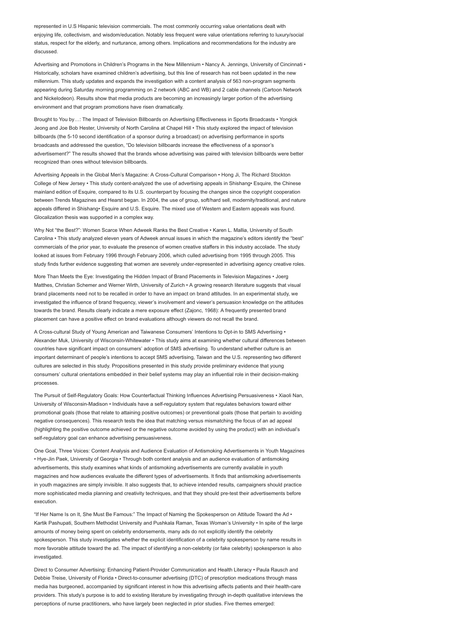represented in U.S Hispanic television commercials. The most commonly occurring value orientations dealt with enjoying life, collectivism, and wisdom/education. Notably less frequent were value orientations referring to luxury/social status, respect for the elderly, and nurturance, among others. Implications and recommendations for the industry are discussed.

Advertising and Promotions in Children's Programs in the New Millennium • Nancy A. Jennings, University of Cincinnati • Historically, scholars have examined children's advertising, but this line of research has not been updated in the new millennium. This study updates and expands the investigation with a content analysis of 563 non-program segments appearing during Saturday morning programming on 2 network (ABC and WB) and 2 cable channels (Cartoon Network and Nickelodeon). Results show that media products are becoming an increasingly larger portion of the advertising environment and that program promotions have risen dramatically.

Brought to You by…: The Impact of Television Billboards on Advertising Effectiveness in Sports Broadcasts • Yongick Jeong and Joe Bob Hester, University of North Carolina at Chapel Hill • This study explored the impact of television billboards (the 5-10 second identification of a sponsor during a broadcast) on advertising performance in sports broadcasts and addressed the question, "Do television billboards increase the effectiveness of a sponsor's advertisement?" The results showed that the brands whose advertising was paired with television billboards were better recognized than ones without television billboards.

Advertising Appeals in the Global Men's Magazine: A Cross-Cultural Comparison • Hong Ji, The Richard Stockton College of New Jersey • This study content-analyzed the use of advertising appeals in Shishang• Esquire, the Chinese mainland edition of Esquire, compared to its U.S. counterpart by focusing the changes since the copyright cooperation between Trends Magazines and Hearst began. In 2004, the use of group, soft/hard sell, modernity/traditional, and nature appeals differed in Shishang• Esquire and U.S. Esquire. The mixed use of Western and Eastern appeals was found. Glocalization thesis was supported in a complex way.

Why Not "the Best?": Women Scarce When Adweek Ranks the Best Creative • Karen L. Mallia, University of South Carolina • This study analyzed eleven years of Adweek annual issues in which the magazine's editors identify the "best" commercials of the prior year, to evaluate the presence of women creative staffers in this industry accolade. The study looked at issues from February 1996 through February 2006, which culled advertising from 1995 through 2005. This study finds further evidence suggesting that women are severely under-represented in advertising agency creative roles.

More Than Meets the Eye: Investigating the Hidden Impact of Brand Placements in Television Magazines • Joerg Matthes, Christian Schemer and Werner Wirth, University of Zurich • A growing research literature suggests that visual brand placements need not to be recalled in order to have an impact on brand attitudes. In an experimental study, we investigated the influence of brand frequency, viewer's involvement and viewer's persuasion knowledge on the attitudes towards the brand. Results clearly indicate a mere exposure effect (Zajonc, 1968): A frequently presented brand placement can have a positive effect on brand evaluations although viewers do not recall the brand.

A Cross-cultural Study of Young American and Taiwanese Consumers' Intentions to Opt-in to SMS Advertising • Alexander Muk, University of Wisconsin-Whitewater • This study aims at examining whether cultural differences between countries have significant impact on consumers' adoption of SMS advertising. To understand whether culture is an important determinant of people's intentions to accept SMS advertising, Taiwan and the U.S. representing two different cultures are selected in this study. Propositions presented in this study provide preliminary evidence that young consumers' cultural orientations embedded in their belief systems may play an influential role in their decision-making processes.

The Pursuit of Self-Regulatory Goals: How Counterfactual Thinking Influences Advertising Persuasiveness • Xiaoli Nan, University of Wisconsin-Madison • Individuals have a self-regulatory system that regulates behaviors toward either promotional goals (those that relate to attaining positive outcomes) or preventional goals (those that pertain to avoiding negative consequences). This research tests the idea that matching versus mismatching the focus of an ad appeal (highlighting the positive outcome achieved or the negative outcome avoided by using the product) with an individual's self-regulatory goal can enhance advertising persuasiveness.

One Goal, Three Voices: Content Analysis and Audience Evaluation of Antismoking Advertisements in Youth Magazines • Hye-Jin Paek, University of Georgia • Through both content analysis and an audience evaluation of antismoking advertisements, this study examines what kinds of antismoking advertisements are currently available in youth magazines and how audiences evaluate the different types of advertisements. It finds that antismoking advertisements in youth magazines are simply invisible. It also suggests that, to achieve intended results, campaigners should practice more sophisticated media planning and creativity techniques, and that they should pre-test their advertisements before execution.

"If Her Name Is on It, She Must Be Famous:" The Impact of Naming the Spokesperson on Attitude Toward the Ad • Kartik Pashupati, Southern Methodist University and Pushkala Raman, Texas Woman's University • In spite of the large amounts of money being spent on celebrity endorsements, many ads do not explicitly identify the celebrity spokesperson. This study investigates whether the explicit identification of a celebrity spokesperson by name results in more favorable attitude toward the ad. The impact of identifying a non-celebrity (or fake celebrity) spokesperson is also investigated.

Direct to Consumer Advertising: Enhancing Patient-Provider Communication and Health Literacy • Paula Rausch and Debbie Treise, University of Florida • Direct-to-consumer advertising (DTC) of prescription medications through mass media has burgeoned, accompanied by significant interest in how this advertising affects patients and their health-care providers. This study's purpose is to add to existing literature by investigating through in-depth qualitative interviews the perceptions of nurse practitioners, who have largely been neglected in prior studies. Five themes emerged: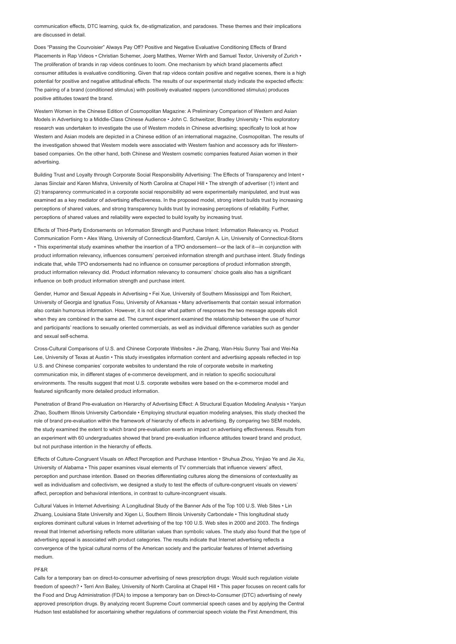communication effects, DTC learning, quick fix, de-stigmatization, and paradoxes. These themes and their implications are discussed in detail.

Does "Passing the Courvoisier" Always Pay Off? Positive and Negative Evaluative Conditioning Effects of Brand Placements in Rap Videos • Christian Schemer, Joerg Matthes, Werner Wirth and Samuel Textor, University of Zurich • The proliferation of brands in rap videos continues to loom. One mechanism by which brand placements affect consumer attitudes is evaluative conditioning. Given that rap videos contain positive and negative scenes, there is a high potential for positive and negative attitudinal effects. The results of our experimental study indicate the expected effects: The pairing of a brand (conditioned stimulus) with positively evaluated rappers (unconditioned stimulus) produces positive attitudes toward the brand.

Western Women in the Chinese Edition of Cosmopolitan Magazine: A Preliminary Comparison of Western and Asian Models in Advertising to a Middle-Class Chinese Audience • John C. Schweitzer, Bradley University • This exploratory research was undertaken to investigate the use of Western models in Chinese advertising; specifically to look at how Western and Asian models are depicted in a Chinese edition of an international magazine, Cosmopolitan. The results of the investigation showed that Western models were associated with Western fashion and accessory ads for Westernbased companies. On the other hand, both Chinese and Western cosmetic companies featured Asian women in their advertising.

Building Trust and Loyalty through Corporate Social Responsibility Advertising: The Effects of Transparency and Intent • Janas Sinclair and Karen Mishra, University of North Carolina at Chapel Hill • The strength of advertiser (1) intent and (2) transparency communicated in a corporate social responsibility ad were experimentally manipulated, and trust was examined as a key mediator of advertising effectiveness. In the proposed model, strong intent builds trust by increasing perceptions of shared values, and strong transparency builds trust by increasing perceptions of reliability. Further, perceptions of shared values and reliability were expected to build loyalty by increasing trust.

Effects of Third-Party Endorsements on Information Strength and Purchase Intent: Information Relevancy vs. Product Communication Form • Alex Wang, University of Connecticut-Stamford, Carolyn A. Lin, University of Connecticut-Storrs • This experimental study examines whether the insertion of a TPO endorsement—or the lack of it—in conjunction with product information relevancy, influences consumers' perceived information strength and purchase intent. Study findings indicate that, while TPO endorsements had no influence on consumer perceptions of product information strength, product information relevancy did. Product information relevancy to consumers' choice goals also has a significant influence on both product information strength and purchase intent.

Gender, Humor and Sexual Appeals in Advertising • Fei Xue, University of Southern Mississippi and Tom Reichert, University of Georgia and Ignatius Fosu, University of Arkansas • Many advertisements that contain sexual information also contain humorous information. However, it is not clear what pattern of responses the two message appeals elicit when they are combined in the same ad. The current experiment examined the relationship between the use of humor and participants' reactions to sexually oriented commercials, as well as individual difference variables such as gender and sexual self-schema.

Cross-Cultural Comparisons of U.S. and Chinese Corporate Websites • Jie Zhang, Wan-Hsiu Sunny Tsai and Wei-Na Lee, University of Texas at Austin • This study investigates information content and advertising appeals reflected in top U.S. and Chinese companies' corporate websites to understand the role of corporate website in marketing communication mix, in different stages of e-commerce development, and in relation to specific sociocultural environments. The results suggest that most U.S. corporate websites were based on the e-commerce model and featured significantly more detailed product information.

Penetration of Brand Pre-evaluation on Hierarchy of Advertising Effect: A Structural Equation Modeling Analysis • Yanjun Zhao, Southern Illinois University Carbondale • Employing structural equation modeling analyses, this study checked the role of brand pre-evaluation within the framework of hierarchy of effects in advertising. By comparing two SEM models, the study examined the extent to which brand pre-evaluation exerts an impact on advertising effectiveness. Results from an experiment with 60 undergraduates showed that brand pre-evaluation influence attitudes toward brand and product, but not purchase intention in the hierarchy of effects.

Effects of Culture-Congruent Visuals on Affect Perception and Purchase Intention • Shuhua Zhou, Yinjiao Ye and Jie Xu, University of Alabama • This paper examines visual elements of TV commercials that influence viewers' affect, perception and purchase intention. Based on theories differentiating cultures along the dimensions of contextuality as well as individualism and collectivism, we designed a study to test the effects of culture-congruent visuals on viewers' affect, perception and behavioral intentions, in contrast to culture-incongruent visuals.

Cultural Values in Internet Advertising: A Longitudinal Study of the Banner Ads of the Top 100 U.S. Web Sites • Lin Zhuang, Louisiana State University and Xigen Li, Southern Illinois University Carbondale • This longitudinal study explores dominant cultural values in Internet advertising of the top 100 U.S. Web sites in 2000 and 2003. The findings reveal that Internet advertising reflects more utilitarian values than symbolic values. The study also found that the type of advertising appeal is associated with product categories. The results indicate that Internet advertising reflects a convergence of the typical cultural norms of the American society and the particular features of Internet advertising medium.

### PF&R

Calls for a temporary ban on direct-to-consumer advertising of news prescription drugs: Would such regulation violate freedom of speech? • Terri Ann Bailey, University of North Carolina at Chapel Hill • This paper focuses on recent calls for the Food and Drug Administration (FDA) to impose a temporary ban on Direct-to-Consumer (DTC) advertising of newly approved prescription drugs. By analyzing recent Supreme Court commercial speech cases and by applying the Central Hudson test established for ascertaining whether regulations of commercial speech violate the First Amendment, this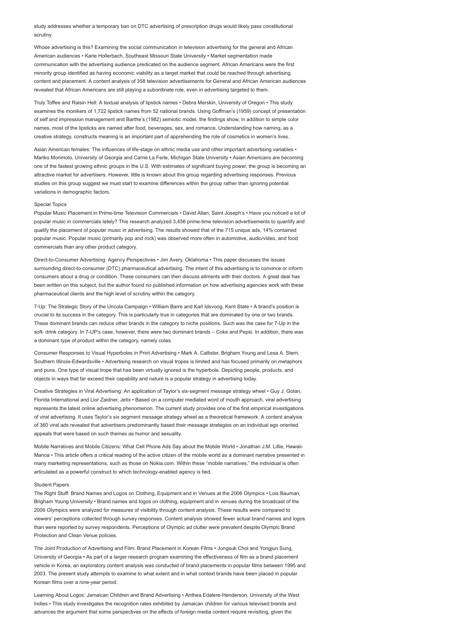study addresses whether a temporary ban on DTC advertising of prescription drugs would likely pass constitutional scrutiny.

Whose advertising is this? Examining the social communication in television advertising for the general and African American audiences • Karie Hollerbach, Southeast Missouri State University • Market segmentation made communication with the advertising audience predicated on the audience segment. African Americans were the first minority group identified as having economic viability as a target market that could be reached through advertising content and placement. A content analysis of 358 television advertisements for General and African American audiences revealed that African Americans are still playing a subordinate role, even in advertising targeted to them.

Truly Toffee and Raisin Hell: A textual analysis of lipstick names • Debra Merskin, University of Oregon • This study examines the monikers of 1,722 lipstick names from 52 national brands. Using Goffman's (1959) concept of presentation of self and impression management and Barthe's (1982) semiotic model, the findings show, in addition to simple color names, most of the lipsticks are named after food, beverages, sex, and romance. Understanding how naming, as a creative strategy, constructs meaning is an important part of apprehending the role of cosmetics in women's lives.

Asian American females: The influences of life-stage on ethnic media use and other important advertising variables • Mariko Morimoto, University of Georgia and Carrie La Ferle, Michigan State University • Asian Americans are becoming one of the fastest growing ethnic groups in the U.S. With estimates of significant buying power, the group is becoming an attractive market for advertisers. However, little is known about this group regarding advertising responses. Previous studies on this group suggest we must start to examine differences within the group rather than ignoring potential variations in demographic factors.

### Special Topics

Popular Music Placement in Prime-time Television Commercials • David Allan, Saint Joseph's • Have you noticed a lot of popular music in commercials lately? This research analyzed 3,456 prime-time television advertisements to quantify and qualify the placement of popular music in advertising. The results showed that of the 715 unique ads, 14% contained popular music. Popular music (primarily pop and rock) was observed more often in automotive, audio/video, and food commercials than any other product category.

Direct-to-Consumer Advertising: Agency Perspectives • Jim Avery, Oklahoma • This paper discusses the issues surrounding direct-to-consumer (DTC) pharmaceutical advertising. The intent of this advertising is to convince or inform consumers about a drug or condition. These consumers can then discuss ailments with their doctors. A great deal has been written on this subject, but the author found no published information on how advertising agencies work with these pharmaceutical clients and the high level of scrutiny within the category.

7-Up: The Strategic Story of the Uncola Campaign • William Barre and Karl Idsvoog, Kent State • A brand's position is crucial to its success in the category. This is particularly true in categories that are dominated by one or two brands. These dominant brands can reduce other brands in the category to niche positions. Such was the case for 7-Up in the soft- drink category. In 7-UP's case, however, there were two dominant brands – Coke and Pepsi. In addition, there was a dominant type of product within the category, namely colas.

Consumer Responses to Visual Hyperboles in Print Advertising • Mark A. Callister, Brigham Young and Lesa A. Stern, Southern Illinois-Edwardsville • Advertising research on visual tropes is limited and has focused primarily on metaphors and puns. One type of visual trope that has been virtually ignored is the hyperbole. Depicting people, products, and objects in ways that far exceed their capability and nature is a popular strategy in advertising today.

Creative Strategies in Viral Advertising: An application of Taylor's six-segment message strategy wheel • Guy J. Golan, Florida International and Lior Zaidner, Jetix • Based on a computer mediated word of mouth approach, viral advertising represents the latest online advertising phenomenon. The current study provides one of the first empirical investigations of viral advertising. It uses Taylor's six segment message strategy wheel as a theoretical framework. A content analysis of 360 viral ads revealed that advertisers predominantly based their message strategies on an individual ego oriented appeals that were based on such themes as humor and sexuality.

Mobile Narratives and Mobile Citizens: What Cell Phone Ads Say about the Mobile World • Jonathan J.M. Lillie, Hawaii-Manoa • This article offers a critical reading of the active citizen of the mobile world as a dominant narrative presented in many marketing representations, such as those on Nokia.com. Within these "mobile narratives," the individual is often articulated as a powerful construct to which technology-enabled agency is tied.

#### Student Papers

The Right Stuff: Brand Names and Logos on Clothing, Equipment and in Venues at the 2006 Olympics • Lois Bauman, Brigham Young University • Brand names and logos on clothing, equipment and in venues during the broadcast of the 2006 Olympics were analyzed for measures of visibility through content analysis. These results were compared to viewers' perceptions collected through survey responses. Content analysis showed fewer actual brand names and logos than were reported by survey respondents. Perceptions of Olympic ad clutter were prevalent despite Olympic Brand Protection and Clean Venue policies.

The Joint Production of Advertising and Film: Brand Placement in Korean Films • Jongsuk Choi and Yongjun Sung, University of Georgia • As part of a larger research program examining the effectiveness of film as a brand placement vehicle in Korea, an exploratory content analysis was conducted of brand placements in popular films between 1995 and 2003. The present study attempts to examine to what extent and in what context brands have been placed in popular Korean films over a nine-year period.

Learning About Logos: Jamaican Children and Brand Advertising • Anthea Edalere-Henderson, University of the West Indies • This study investigates the recognition rates exhibited by Jamaican children for various televised brands and advances the argument that some perspectives on the effects of foreign media content require revisiting, given the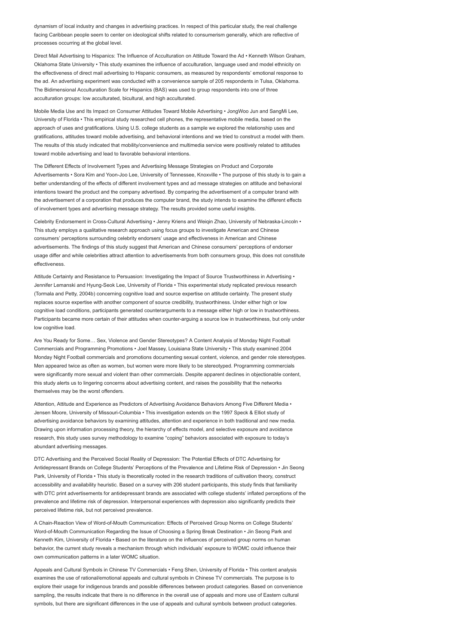dynamism of local industry and changes in advertising practices. In respect of this particular study, the real challenge facing Caribbean people seem to center on ideological shifts related to consumerism generally, which are reflective of processes occurring at the global level.

Direct Mail Advertising to Hispanics: The Influence of Acculturation on Attitude Toward the Ad • Kenneth Wilson Graham, Oklahoma State University • This study examines the influence of acculturation, language used and model ethnicity on the effectiveness of direct mail advertising to Hispanic consumers, as measured by respondents' emotional response to the ad. An advertising experiment was conducted with a convenience sample of 205 respondents in Tulsa, Oklahoma. The Bidimensional Acculturation Scale for Hispanics (BAS) was used to group respondents into one of three acculturation groups: low acculturated, bicultural, and high acculturated.

Mobile Media Use and Its Impact on Consumer Attitudes Toward Mobile Advertising • JongWoo Jun and SangMi Lee, University of Florida • This empirical study researched cell phones, the representative mobile media, based on the approach of uses and gratifications. Using U.S. college students as a sample we explored the relationship uses and gratifications, attitudes toward mobile advertising, and behavioral intentions and we tried to construct a model with them. The results of this study indicated that mobility/convenience and multimedia service were positively related to attitudes toward mobile advertising and lead to favorable behavioral intentions.

The Different Effects of Involvement Types and Advertising Message Strategies on Product and Corporate Advertisements • Sora Kim and Yoon-Joo Lee, University of Tennessee, Knoxville • The purpose of this study is to gain a better understanding of the effects of different involvement types and ad message strategies on attitude and behavioral intentions toward the product and the company advertised. By comparing the advertisement of a computer brand with the advertisement of a corporation that produces the computer brand, the study intends to examine the different effects of involvement types and advertising message strategy. The results provided some useful insights.

Celebrity Endorsement in Cross-Cultural Advertising • Jenny Kriens and Weiqin Zhao, University of Nebraska-Lincoln • This study employs a qualitative research approach using focus groups to investigate American and Chinese consumers' perceptions surrounding celebrity endorsers' usage and effectiveness in American and Chinese advertisements. The findings of this study suggest that American and Chinese consumers' perceptions of endorser usage differ and while celebrities attract attention to advertisements from both consumers group, this does not constitute effectiveness.

Attitude Certainty and Resistance to Persuasion: Investigating the Impact of Source Trustworthiness in Advertising • Jennifer Lemanski and Hyung-Seok Lee, University of Florida • This experimental study replicated previous research (Tormala and Petty, 2004b) concerning cognitive load and source expertise on attitude certainty. The present study replaces source expertise with another component of source credibility, trustworthiness. Under either high or low cognitive load conditions, participants generated counterarguments to a message either high or low in trustworthiness. Participants became more certain of their attitudes when counter-arguing a source low in trustworthiness, but only under low cognitive load.

Are You Ready for Some… Sex, Violence and Gender Stereotypes? A Content Analysis of Monday Night Football Commercials and Programming Promotions • Joel Massey, Louisiana State University • This study examined 2004 Monday Night Football commercials and promotions documenting sexual content, violence, and gender role stereotypes. Men appeared twice as often as women, but women were more likely to be stereotyped. Programming commercials were significantly more sexual and violent than other commercials. Despite apparent declines in objectionable content, this study alerts us to lingering concerns about advertising content, and raises the possibility that the networks themselves may be the worst offenders.

Attention, Attitude and Experience as Predictors of Advertising Avoidance Behaviors Among Five Different Media • Jensen Moore, University of Missouri-Columbia • This investigation extends on the 1997 Speck & Elliot study of advertising avoidance behaviors by examining attitudes, attention and experience in both traditional and new media. Drawing upon information processing theory, the hierarchy of effects model, and selective exposure and avoidance research, this study uses survey methodology to examine "coping" behaviors associated with exposure to today's abundant advertising messages.

DTC Advertising and the Perceived Social Reality of Depression: The Potential Effects of DTC Advertising for Antidepressant Brands on College Students' Perceptions of the Prevalence and Lifetime Risk of Depression • Jin Seong Park, University of Florida • This study is theoretically rooted in the research traditions of cultivation theory, construct accessibility and availability heuristic. Based on a survey with 206 student participants, this study finds that familiarity with DTC print advertisements for antidepressant brands are associated with college students' inflated perceptions of the prevalence and lifetime risk of depression. Interpersonal experiences with depression also significantly predicts their perceived lifetime risk, but not perceived prevalence.

A Chain-Reaction View of Word-of-Mouth Communication: Effects of Perceived Group Norms on College Students' Word-of-Mouth Communication Regarding the Issue of Choosing a Spring Break Destination • Jin Seong Park and Kenneth Kim, University of Florida • Based on the literature on the influences of perceived group norms on human behavior, the current study reveals a mechanism through which individuals' exposure to WOMC could influence their own communication patterns in a later WOMC situation.

Appeals and Cultural Symbols in Chinese TV Commercials • Feng Shen, University of Florida • This content analysis examines the use of rational/emotional appeals and cultural symbols in Chinese TV commercials. The purpose is to explore their usage for indigenous brands and possible differences between product categories. Based on convenience sampling, the results indicate that there is no difference in the overall use of appeals and more use of Eastern cultural symbols, but there are significant differences in the use of appeals and cultural symbols between product categories.